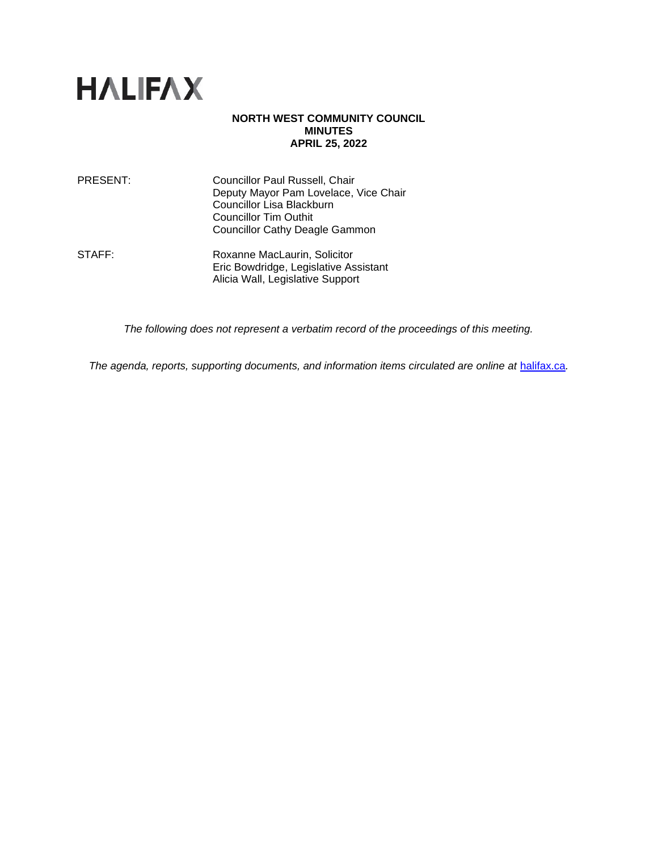

## **NORTH WEST COMMUNITY COUNCIL MINUTES APRIL 25, 2022**

| PRESENT: | Councillor Paul Russell, Chair        |
|----------|---------------------------------------|
|          | Deputy Mayor Pam Lovelace, Vice Chair |
|          | Councillor Lisa Blackburn             |
|          | <b>Councillor Tim Outhit</b>          |
|          | <b>Councillor Cathy Deagle Gammon</b> |
|          |                                       |

STAFF: Roxanne MacLaurin, Solicitor Eric Bowdridge, Legislative Assistant Alicia Wall, Legislative Support

*The following does not represent a verbatim record of the proceedings of this meeting.*

*The agenda, reports, supporting documents, and information items circulated are online at [halifax.ca](http://www.halifax.ca/).*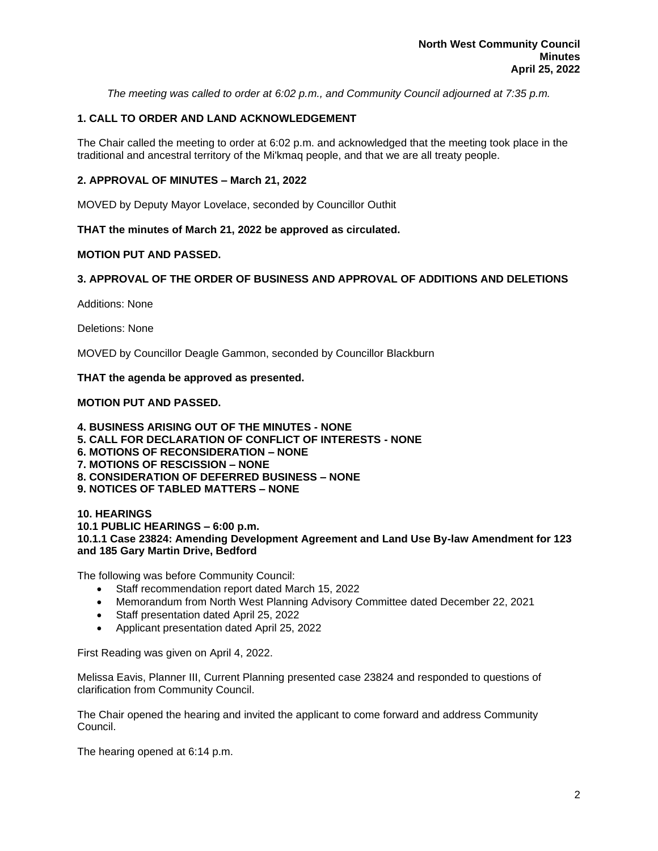*The meeting was called to order at 6:02 p.m., and Community Council adjourned at 7:35 p.m.*

# **1. CALL TO ORDER AND LAND ACKNOWLEDGEMENT**

The Chair called the meeting to order at 6:02 p.m. and acknowledged that the meeting took place in the traditional and ancestral territory of the Mi'kmaq people, and that we are all treaty people.

## **2. APPROVAL OF MINUTES – March 21, 2022**

MOVED by Deputy Mayor Lovelace, seconded by Councillor Outhit

**THAT the minutes of March 21, 2022 be approved as circulated.**

## **MOTION PUT AND PASSED.**

## **3. APPROVAL OF THE ORDER OF BUSINESS AND APPROVAL OF ADDITIONS AND DELETIONS**

Additions: None

Deletions: None

MOVED by Councillor Deagle Gammon, seconded by Councillor Blackburn

### **THAT the agenda be approved as presented.**

## **MOTION PUT AND PASSED.**

**4. BUSINESS ARISING OUT OF THE MINUTES - NONE 5. CALL FOR DECLARATION OF CONFLICT OF INTERESTS - NONE 6. MOTIONS OF RECONSIDERATION – NONE 7. MOTIONS OF RESCISSION – NONE 8. CONSIDERATION OF DEFERRED BUSINESS – NONE 9. NOTICES OF TABLED MATTERS – NONE**

**10. HEARINGS 10.1 PUBLIC HEARINGS – 6:00 p.m. 10.1.1 Case 23824: Amending Development Agreement and Land Use By-law Amendment for 123 and 185 Gary Martin Drive, Bedford**

The following was before Community Council:

- Staff recommendation report dated March 15, 2022
- Memorandum from North West Planning Advisory Committee dated December 22, 2021
- Staff presentation dated April 25, 2022
- Applicant presentation dated April 25, 2022

First Reading was given on April 4, 2022.

Melissa Eavis, Planner III, Current Planning presented case 23824 and responded to questions of clarification from Community Council.

The Chair opened the hearing and invited the applicant to come forward and address Community Council.

The hearing opened at 6:14 p.m.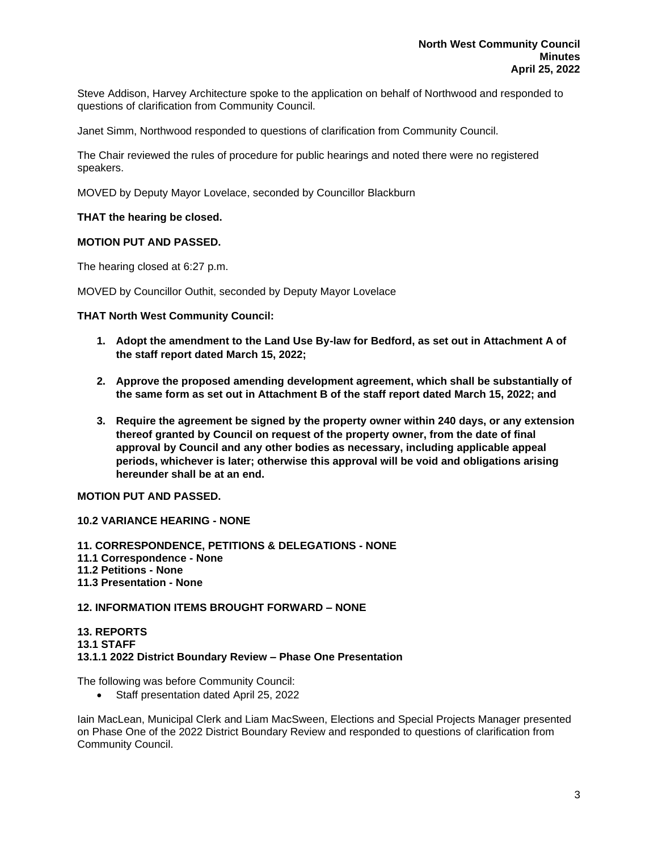Steve Addison, Harvey Architecture spoke to the application on behalf of Northwood and responded to questions of clarification from Community Council.

Janet Simm, Northwood responded to questions of clarification from Community Council.

The Chair reviewed the rules of procedure for public hearings and noted there were no registered speakers.

MOVED by Deputy Mayor Lovelace, seconded by Councillor Blackburn

### **THAT the hearing be closed.**

# **MOTION PUT AND PASSED.**

The hearing closed at 6:27 p.m.

MOVED by Councillor Outhit, seconded by Deputy Mayor Lovelace

#### **THAT North West Community Council:**

- **1. Adopt the amendment to the Land Use By-law for Bedford, as set out in Attachment A of the staff report dated March 15, 2022;**
- **2. Approve the proposed amending development agreement, which shall be substantially of the same form as set out in Attachment B of the staff report dated March 15, 2022; and**
- **3. Require the agreement be signed by the property owner within 240 days, or any extension thereof granted by Council on request of the property owner, from the date of final approval by Council and any other bodies as necessary, including applicable appeal periods, whichever is later; otherwise this approval will be void and obligations arising hereunder shall be at an end.**

**MOTION PUT AND PASSED.**

**10.2 VARIANCE HEARING - NONE**

**11. CORRESPONDENCE, PETITIONS & DELEGATIONS - NONE 11.1 Correspondence - None 11.2 Petitions - None 11.3 Presentation - None**

### **12. INFORMATION ITEMS BROUGHT FORWARD – NONE**

#### **13. REPORTS 13.1 STAFF 13.1.1 2022 District Boundary Review – Phase One Presentation**

The following was before Community Council:

• Staff presentation dated April 25, 2022

Iain MacLean, Municipal Clerk and Liam MacSween, Elections and Special Projects Manager presented on Phase One of the 2022 District Boundary Review and responded to questions of clarification from Community Council.